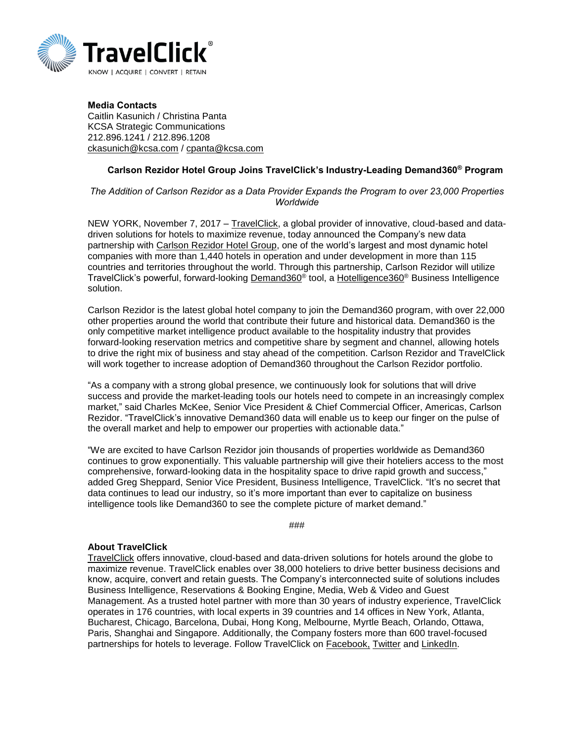

Media Contacts Caitlin Kasunich / Christina Panta KCSA Strategic Communications 212.896.1241 / 212.896.1208 [ckasunich@kcsa.com](mailto:ckasunich@kcsa.com) / [cpanta@kcsa.com](mailto:cpanta@kcsa.com)

## Carlson Rezidor Hotel Group Joins TravelClick's Industry-Leading Demand360® Program

## *The Addition of Carlson Rezidor as a Data Provider Expands the Program to over 23,000 Properties Worldwide*

NEW YORK, November 7, 2017 – [TravelClick,](https://www.travelclick.com/en/homepage) a global provider of innovative, cloud-based and datadriven solutions for hotels to maximize revenue, today announced the Company's new data partnership with Carlson [Rezidor Hotel Group,](http://www.carlson.com/) one of the world's largest and most dynamic hotel companies with more than 1,440 hotels in operation and under development in more than 115 countries and territories throughout the world. Through this partnership, Carlson Rezidor will utilize TravelClick's powerful, forward-looking [Demand360](https://www.travelclick.com/demand360.html)<sup>®</sup> tool, a [Hotelligence360](https://www.travelclick.com/business-intelligence.html)<sup>®</sup> Business Intelligence solution.

Carlson Rezidor is the latest global hotel company to join the Demand360 program, with over 22,000 other properties around the world that contribute their future and historical data. Demand360 is the only competitive market intelligence product available to the hospitality industry that provides forward-looking reservation metrics and competitive share by segment and channel, allowing hotels to drive the right mix of business and stay ahead of the competition. Carlson Rezidor and TravelClick will work together to increase adoption of Demand360 throughout the Carlson Rezidor portfolio.

"As a company with a strong global presence, we continuously look for solutions that will drive success and provide the market-leading tools our hotels need to compete in an increasingly complex market," said Charles McKee, Senior Vice President & Chief Commercial Officer, Americas, Carlson Rezidor. "TravelClick's innovative Demand360 data will enable us to keep our finger on the pulse of the overall market and help to empower our properties with actionable data."

"We are excited to have Carlson Rezidor join thousands of properties worldwide as Demand360 continues to grow exponentially. This valuable partnership will give their hoteliers access to the most comprehensive, forward-looking data in the hospitality space to drive rapid growth and success," added Greg Sheppard, Senior Vice President, Business Intelligence, TravelClick. "It's no secret that data continues to lead our industry, so it's more important than ever to capitalize on business intelligence tools like Demand360 to see the complete picture of market demand."

###

## **About TravelClick**

[TravelClick](http://www.travelclick.com/) offers innovative, cloud-based and data-driven solutions for hotels around the globe to maximize revenue. TravelClick enables over 38,000 hoteliers to drive better business decisions and know, acquire, convert and retain guests. The Company's interconnected suite of solutions includes Business Intelligence, Reservations & Booking Engine, Media, Web & Video and Guest Management. As a trusted hotel partner with more than 30 years of industry experience, TravelClick operates in 176 countries, with local experts in 39 countries and 14 offices in New York, Atlanta, Bucharest, Chicago, Barcelona, Dubai, Hong Kong, Melbourne, Myrtle Beach, Orlando, Ottawa, Paris, Shanghai and Singapore. Additionally, the Company fosters more than 600 travel-focused partnerships for hotels to leverage. Follow TravelClick on [Facebook,](https://www.facebook.com/travelclick/) [Twitter](https://twitter.com/TravelClick) and [LinkedIn.](https://www.linkedin.com/company/7772?trk=tyah&trkInfo=clickedVertical%3Acompany%2CclickedEntityId%3A7772%2Cidx%3A3-1-6%2CtarId%3A1474584807016%2Ctas%3ATravelclick)